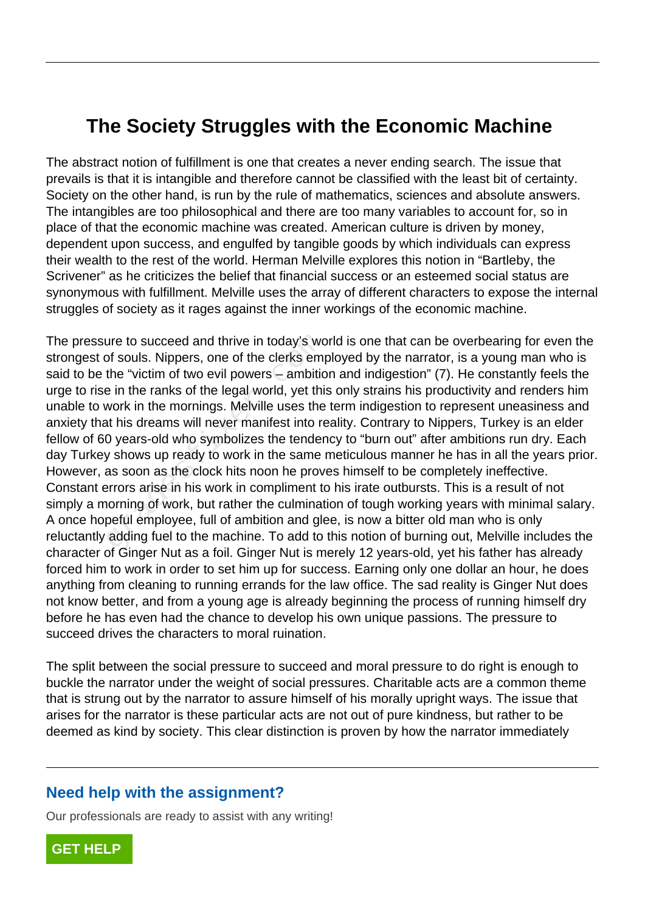## **The Society Struggles with the Economic Machine**

The abstract notion of fulfillment is one that creates a never ending search. The issue that prevails is that it is intangible and therefore cannot be classified with the least bit of certainty. Society on the other hand, is run by the rule of mathematics, sciences and absolute answers. The intangibles are too philosophical and there are too many variables to account for, so in place of that the economic machine was created. American culture is driven by money, dependent upon success, and engulfed by tangible goods by which individuals can express their wealth to the rest of the world. Herman Melville explores this notion in "Bartleby, the Scrivener" as he criticizes the belief that financial success or an esteemed social status are synonymous with fulfillment. Melville uses the array of different characters to expose the internal struggles of society as it rages against the inner workings of the economic machine.

The pressure to succeed and thrive in today's world is one that can be overbearing for even the strongest of souls. Nippers, one of the clerks employed by the narrator, is a young man who is said to be the "victim of two evil powers – ambition and indigestion" (7). He constantly feels the urge to rise in the ranks of the legal world, yet this only strains his productivity and renders him unable to work in the mornings. Melville uses the term indigestion to represent uneasiness and anxiety that his dreams will never manifest into reality. Contrary to Nippers, Turkey is an elder fellow of 60 years-old who symbolizes the tendency to "burn out" after ambitions run dry. Each day Turkey shows up ready to work in the same meticulous manner he has in all the years prior. However, as soon as the clock hits noon he proves himself to be completely ineffective. Constant errors arise in his work in compliment to his irate outbursts. This is a result of not simply a morning of work, but rather the culmination of tough working years with minimal salary. A once hopeful employee, full of ambition and glee, is now a bitter old man who is only reluctantly adding fuel to the machine. To add to this notion of burning out, Melville includes the character of Ginger Nut as a foil. Ginger Nut is merely 12 years-old, yet his father has already forced him to work in order to set him up for success. Earning only one dollar an hour, he does anything from cleaning to running errands for the law office. The sad reality is Ginger Nut does not know better, and from a young age is already beginning the process of running himself dry before he has even had the chance to develop his own unique passions. The pressure to succeed drives the characters to moral ruination. ure to succeed and thrive in today's wo<br>of souls. Nippers, one of the clerks emp<br>the "victim of two evil powers – ambitic<br>e in the ranks of the legal world, yet this<br>work in the mornings. Melville uses the<br>at his dreams wi

The split between the social pressure to succeed and moral pressure to do right is enough to buckle the narrator under the weight of social pressures. Charitable acts are a common theme that is strung out by the narrator to assure himself of his morally upright ways. The issue that arises for the narrator is these particular acts are not out of pure kindness, but rather to be deemed as kind by society. This clear distinction is proven by how the narrator immediately

## **Need help with the assignment?**

Our professionals are ready to assist with any writing!

**[GET HELP](https://my.gradesfixer.com/order?utm_campaign=pdf_sample)**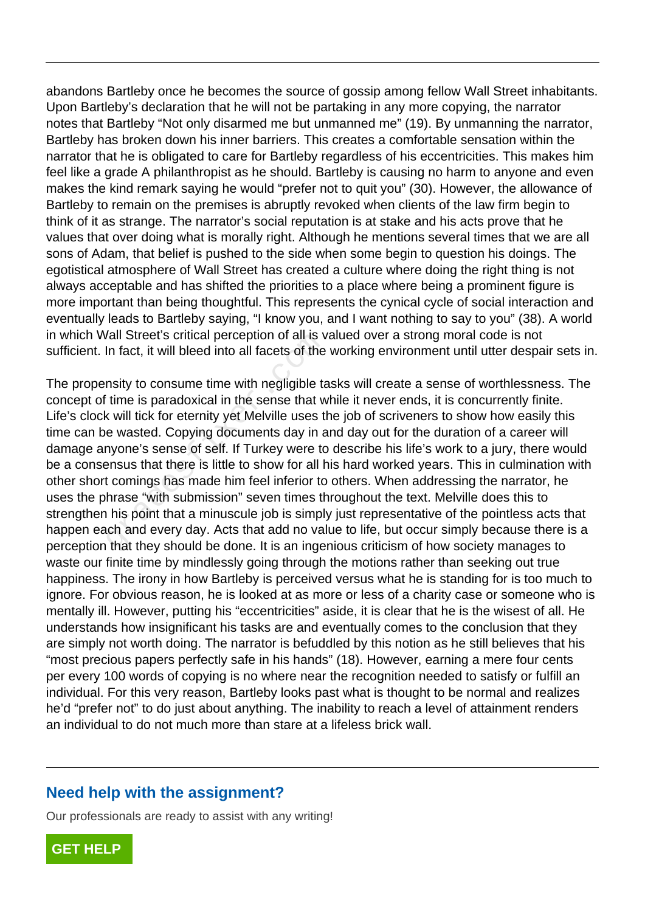abandons Bartleby once he becomes the source of gossip among fellow Wall Street inhabitants. Upon Bartleby's declaration that he will not be partaking in any more copying, the narrator notes that Bartleby "Not only disarmed me but unmanned me" (19). By unmanning the narrator, Bartleby has broken down his inner barriers. This creates a comfortable sensation within the narrator that he is obligated to care for Bartleby regardless of his eccentricities. This makes him feel like a grade A philanthropist as he should. Bartleby is causing no harm to anyone and even makes the kind remark saying he would "prefer not to quit you" (30). However, the allowance of Bartleby to remain on the premises is abruptly revoked when clients of the law firm begin to think of it as strange. The narrator's social reputation is at stake and his acts prove that he values that over doing what is morally right. Although he mentions several times that we are all sons of Adam, that belief is pushed to the side when some begin to question his doings. The egotistical atmosphere of Wall Street has created a culture where doing the right thing is not always acceptable and has shifted the priorities to a place where being a prominent figure is more important than being thoughtful. This represents the cynical cycle of social interaction and eventually leads to Bartleby saying, "I know you, and I want nothing to say to you" (38). A world in which Wall Street's critical perception of all is valued over a strong moral code is not sufficient. In fact, it will bleed into all facets of the working environment until utter despair sets in.

The propensity to consume time with negligible tasks will create a sense of worthlessness. The concept of time is paradoxical in the sense that while it never ends, it is concurrently finite. Life's clock will tick for eternity yet Melville uses the job of scriveners to show how easily this time can be wasted. Copying documents day in and day out for the duration of a career will damage anyone's sense of self. If Turkey were to describe his life's work to a jury, there would be a consensus that there is little to show for all his hard worked years. This in culmination with other short comings has made him feel inferior to others. When addressing the narrator, he uses the phrase "with submission" seven times throughout the text. Melville does this to strengthen his point that a minuscule job is simply just representative of the pointless acts that happen each and every day. Acts that add no value to life, but occur simply because there is a perception that they should be done. It is an ingenious criticism of how society manages to waste our finite time by mindlessly going through the motions rather than seeking out true happiness. The irony in how Bartleby is perceived versus what he is standing for is too much to ignore. For obvious reason, he is looked at as more or less of a charity case or someone who is mentally ill. However, putting his "eccentricities" aside, it is clear that he is the wisest of all. He understands how insignificant his tasks are and eventually comes to the conclusion that they are simply not worth doing. The narrator is befuddled by this notion as he still believes that his "most precious papers perfectly safe in his hands" (18). However, earning a mere four cents per every 100 words of copying is no where near the recognition needed to satisfy or fulfill an individual. For this very reason, Bartleby looks past what is thought to be normal and realizes he'd "prefer not" to do just about anything. The inability to reach a level of attainment renders an individual to do not much more than stare at a lifeless brick wall. rain street's critical perception of all is v<br>In fact, it will bleed into all facets of the<br>nsity to consume time with negligible ta<br>time is paradoxical in the sense that w<br>c will tick for eternity yet Melville uses t<br>e wa

## **Need help with the assignment?**

Our professionals are ready to assist with any writing!

**[GET HELP](https://my.gradesfixer.com/order?utm_campaign=pdf_sample)**